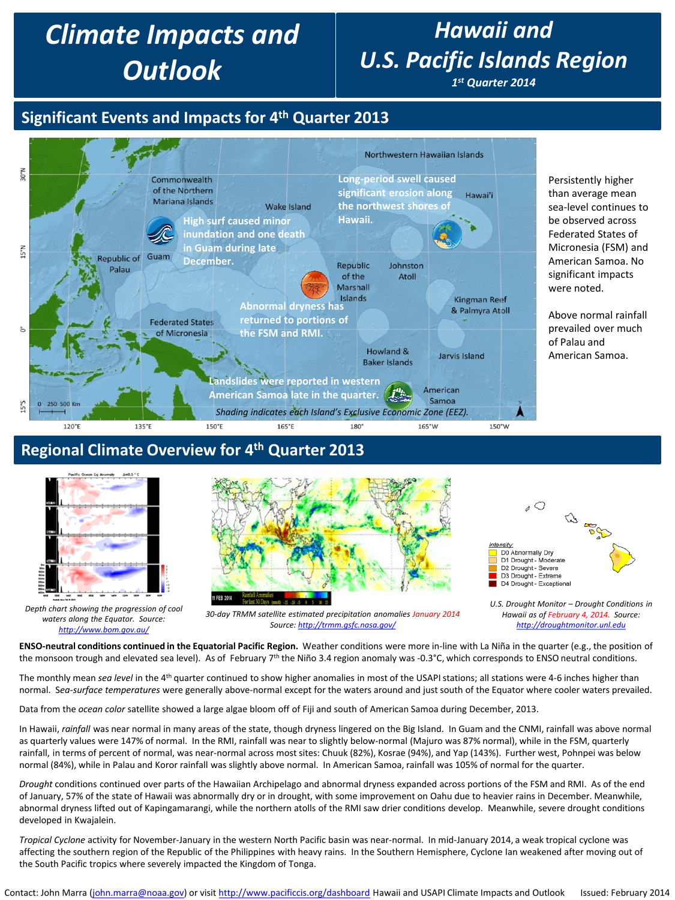# *Climate Impacts and Outlook*

# *Hawaii and U.S. Pacific Islands Region*

*1st Quarter 2014*

## **Significant Events and Impacts for 4th Quarter 2013**



#### **Regional Climate Overview for 4th Quarter 2013**



*Depth chart showing the progression of cool waters along the Equator. Source: <http://www.bom.gov.au/>*





*<sup>30-</sup>day TRMM satellite estimated precipitation anomalies January 2014 Source: <http://trmm.gsfc.nasa.gov/>*

**ENSO-neutral conditions continued in the Equatorial Pacific Region.** Weather conditions were more in-line with La Niña in the quarter (e.g., the position of the monsoon trough and elevated sea level). As of February  $7<sup>th</sup>$  the Niño 3.4 region anomaly was -0.3°C, which corresponds to ENSO neutral conditions.

The monthly mean *sea level* in the 4<sup>th</sup> quarter continued to show higher anomalies in most of the USAPI stations; all stations were 4-6 inches higher than normal. S*ea-surface temperatures* were generally above-normal except for the waters around and just south of the Equator where cooler waters prevailed.

Data from the *ocean color* satellite showed a large algae bloom off of Fiji and south of American Samoa during December, 2013.

In Hawaii, *rainfall* was near normal in many areas of the state, though dryness lingered on the Big Island. In Guam and the CNMI, rainfall was above normal as quarterly values were 147% of normal. In the RMI, rainfall was near to slightly below-normal (Majuro was 87% normal), while in the FSM, quarterly rainfall, in terms of percent of normal, was near-normal across most sites: Chuuk (82%), Kosrae (94%), and Yap (143%). Further west, Pohnpei was below normal (84%), while in Palau and Koror rainfall was slightly above normal. In American Samoa, rainfall was 105% of normal for the quarter.

*Drought* conditions continued over parts of the Hawaiian Archipelago and abnormal dryness expanded across portions of the FSM and RMI. As of the end of January, 57% of the state of Hawaii was abnormally dry or in drought, with some improvement on Oahu due to heavier rains in December. Meanwhile, abnormal dryness lifted out of Kapingamarangi, while the northern atolls of the RMI saw drier conditions develop. Meanwhile, severe drought conditions developed in Kwajalein.

*Tropical Cyclone* activity for November-January in the western North Pacific basin was near-normal. In mid-January 2014, a weak tropical cyclone was affecting the southern region of the Republic of the Philippines with heavy rains. In the Southern Hemisphere, Cyclone Ian weakened after moving out of the South Pacific tropics where severely impacted the Kingdom of Tonga.

*U.S. Drought Monitor – Drought Conditions in Hawaii as of February 4, 2014. Source: [http://droughtmonitor.unl.edu](http://droughtmonitor.unl.edu/)*